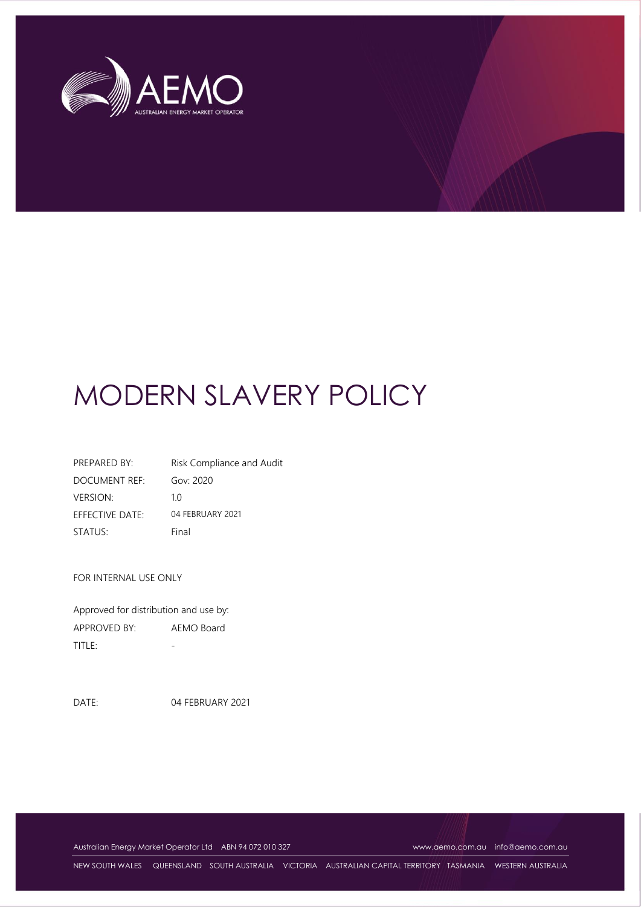

# MODERN SLAVERY POLICY

| PREPARED BY:         | Risk Compliance and Audit |
|----------------------|---------------------------|
| <b>DOCUMENT REF:</b> | Gov: 2020                 |
| <b>VERSION:</b>      | 10                        |
| EFFECTIVE DATE:      | 04 FEBRUARY 2021          |
| STATUS:              | Final                     |

FOR INTERNAL USE ONLY

Approved for distribution and use by: APPROVED BY: AEMO Board TITLE: Particular and the set of the set of the set of the set of the set of the set of the set of the set of the set of the set of the set of the set of the set of the set of the set of the set of the set of the set of th

DATE: 04 FEBRUARY 2021

Australian Energy Market Operator Ltd ABN 94 072 010 327 [www.aemo.com.au](http://www.aemo.com.au/) [info@aemo.com.au](mailto:info@aemo.com.au)

NEW SOUTH WALES QUEENSLAND SOUTH AUSTRALIA VICTORIA AUSTRALIAN CAPITAL TERRITORY TASMANIA WESTERN AUSTRALIA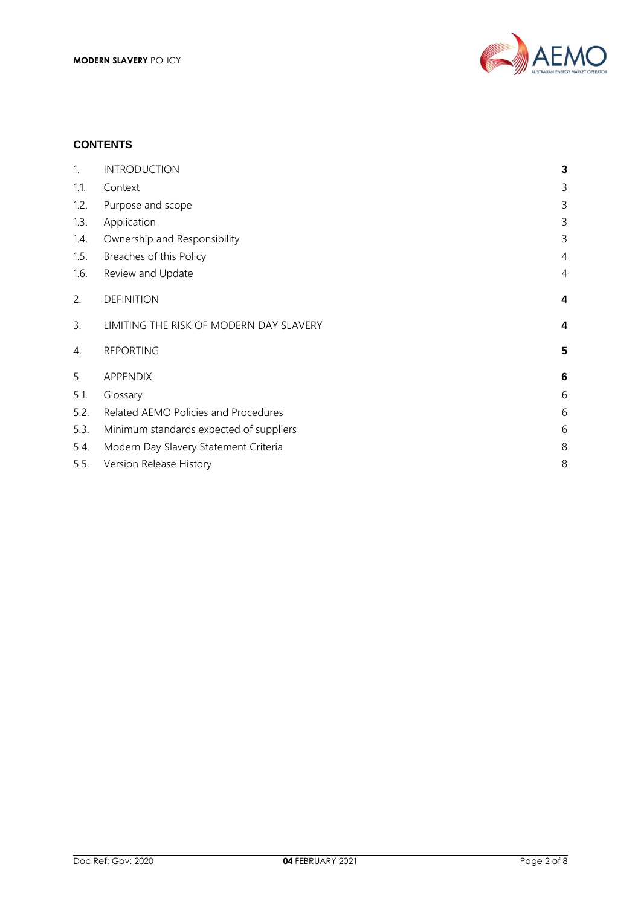

## **CONTENTS**

| 1.   | <b>INTRODUCTION</b>                     | 3              |
|------|-----------------------------------------|----------------|
| 1.1. | Context                                 | 3              |
| 1.2. | Purpose and scope                       | 3              |
| 1.3. | Application                             | 3              |
| 1.4. | Ownership and Responsibility            | 3              |
| 1.5. | Breaches of this Policy                 | 4              |
| 1.6. | Review and Update                       | $\overline{4}$ |
| 2.   | <b>DEFINITION</b>                       | 4              |
| 3.   | LIMITING THE RISK OF MODERN DAY SLAVERY | 4              |
| 4.   | <b>REPORTING</b>                        | 5              |
| 5.   | <b>APPENDIX</b>                         | $6\phantom{1}$ |
| 5.1. | Glossary                                | 6              |
| 5.2. | Related AEMO Policies and Procedures    | 6              |
| 5.3. | Minimum standards expected of suppliers | 6              |
| 5.4. | Modern Day Slavery Statement Criteria   | 8              |
| 5.5. | Version Release History                 | 8              |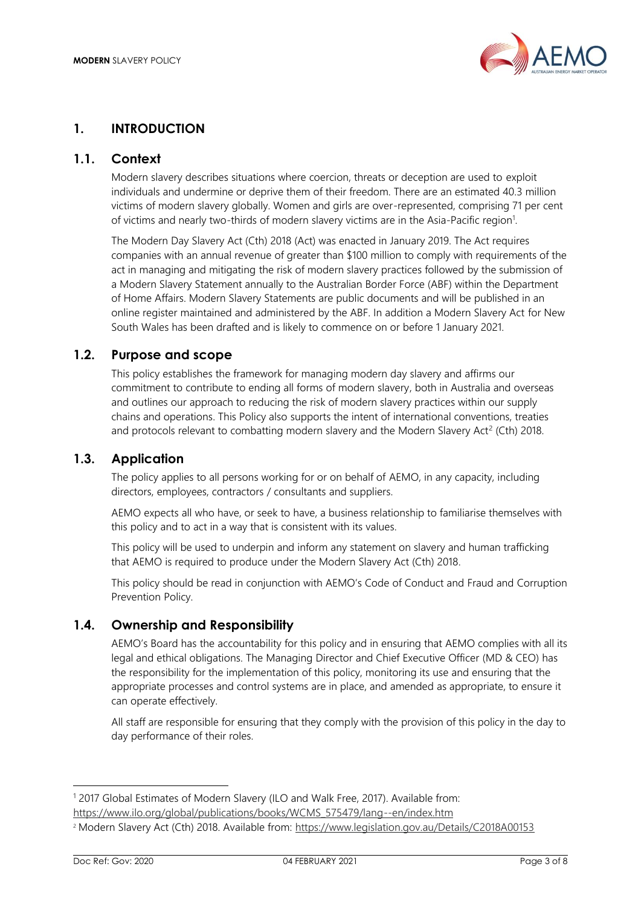

# <span id="page-2-0"></span>**1. INTRODUCTION**

## <span id="page-2-1"></span>**1.1. Context**

Modern slavery describes situations where coercion, threats or deception are used to exploit individuals and undermine or deprive them of their freedom. There are an estimated 40.3 million victims of modern slavery globally. Women and girls are over-represented, comprising 71 per cent of victims and nearly two-thirds of modern slavery victims are in the Asia-Pacific region<sup>1</sup>.

The Modern Day Slavery Act (Cth) 2018 (Act) was enacted in January 2019. The Act requires companies with an annual revenue of greater than \$100 million to comply with requirements of the act in managing and mitigating the risk of modern slavery practices followed by the submission of a Modern Slavery Statement annually to the Australian Border Force (ABF) within the Department of Home Affairs. Modern Slavery Statements are public documents and will be published in an online register maintained and administered by the ABF. In addition a Modern Slavery Act for New South Wales has been drafted and is likely to commence on or before 1 January 2021.

## <span id="page-2-2"></span>**1.2. Purpose and scope**

This policy establishes the framework for managing modern day slavery and affirms our commitment to contribute to ending all forms of modern slavery, both in Australia and overseas and outlines our approach to reducing the risk of modern slavery practices within our supply chains and operations. This Policy also supports the intent of international conventions, treaties and protocols relevant to combatting modern slavery and the Modern Slavery Act<sup>2</sup> (Cth) 2018.

## <span id="page-2-3"></span>**1.3. Application**

The policy applies to all persons working for or on behalf of AEMO, in any capacity, including directors, employees, contractors / consultants and suppliers.

AEMO expects all who have, or seek to have, a business relationship to familiarise themselves with this policy and to act in a way that is consistent with its values.

This policy will be used to underpin and inform any statement on slavery and human trafficking that AEMO is required to produce under the Modern Slavery Act (Cth) 2018.

This policy should be read in conjunction with AEMO's Code of Conduct and Fraud and Corruption Prevention Policy.

## <span id="page-2-4"></span>**1.4. Ownership and Responsibility**

AEMO's Board has the accountability for this policy and in ensuring that AEMO complies with all its legal and ethical obligations. The Managing Director and Chief Executive Officer (MD & CEO) has the responsibility for the implementation of this policy, monitoring its use and ensuring that the appropriate processes and control systems are in place, and amended as appropriate, to ensure it can operate effectively.

All staff are responsible for ensuring that they comply with the provision of this policy in the day to day performance of their roles.

<sup>1</sup> 2017 Global Estimates of Modern Slavery (ILO and Walk Free, 2017). Available from:

[https://www.ilo.org/global/publications/books/WCMS\\_575479/lang--en/index.htm](https://www.ilo.org/global/publications/books/WCMS_575479/lang--en/index.htm)

<sup>&</sup>lt;sup>2</sup> Modern Slavery Act (Cth) 2018. Available from:<https://www.legislation.gov.au/Details/C2018A00153>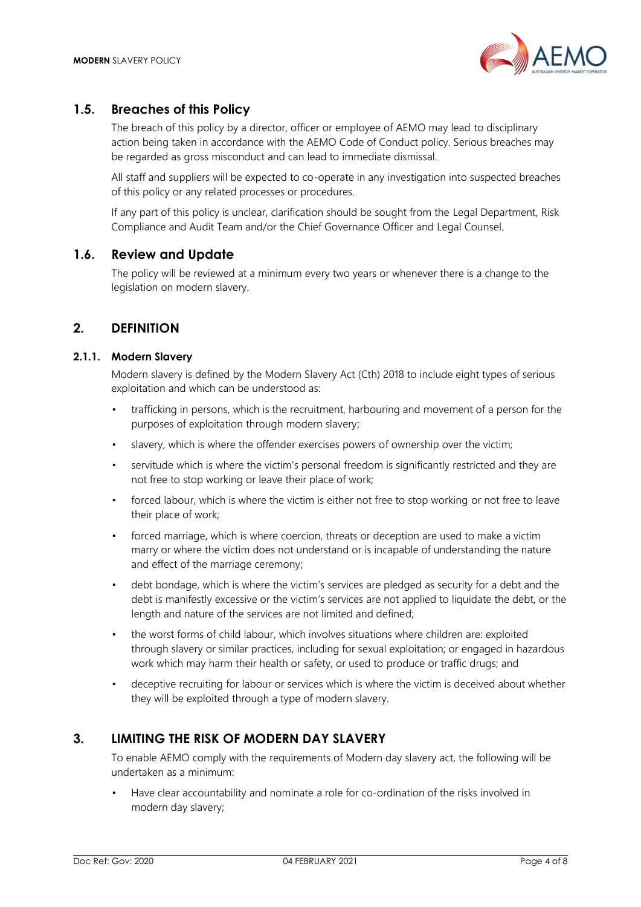

# <span id="page-3-0"></span>**1.5. Breaches of this Policy**

The breach of this policy by a director, officer or employee of AEMO may lead to disciplinary action being taken in accordance with the AEMO Code of Conduct policy. Serious breaches may be regarded as gross misconduct and can lead to immediate dismissal.

All staff and suppliers will be expected to co-operate in any investigation into suspected breaches of this policy or any related processes or procedures.

If any part of this policy is unclear, clarification should be sought from the Legal Department, Risk Compliance and Audit Team and/or the Chief Governance Officer and Legal Counsel.

## <span id="page-3-1"></span>**1.6. Review and Update**

The policy will be reviewed at a minimum every two years or whenever there is a change to the legislation on modern slavery.

## <span id="page-3-2"></span>**2. DEFINITION**

## **2.1.1. Modern Slavery**

Modern slavery is defined by the Modern Slavery Act (Cth) 2018 to include eight types of serious exploitation and which can be understood as:

- trafficking in persons, which is the recruitment, harbouring and movement of a person for the purposes of exploitation through modern slavery;
- slavery, which is where the offender exercises powers of ownership over the victim;
- servitude which is where the victim's personal freedom is significantly restricted and they are not free to stop working or leave their place of work;
- forced labour, which is where the victim is either not free to stop working or not free to leave their place of work;
- forced marriage, which is where coercion, threats or deception are used to make a victim marry or where the victim does not understand or is incapable of understanding the nature and effect of the marriage ceremony;
- debt bondage, which is where the victim's services are pledged as security for a debt and the debt is manifestly excessive or the victim's services are not applied to liquidate the debt, or the length and nature of the services are not limited and defined;
- the worst forms of child labour, which involves situations where children are: exploited through slavery or similar practices, including for sexual exploitation; or engaged in hazardous work which may harm their health or safety, or used to produce or traffic drugs; and
- deceptive recruiting for labour or services which is where the victim is deceived about whether they will be exploited through a type of modern slavery.

## <span id="page-3-3"></span>**3. LIMITING THE RISK OF MODERN DAY SLAVERY**

To enable AEMO comply with the requirements of Modern day slavery act, the following will be undertaken as a minimum:

• Have clear accountability and nominate a role for co-ordination of the risks involved in modern day slavery;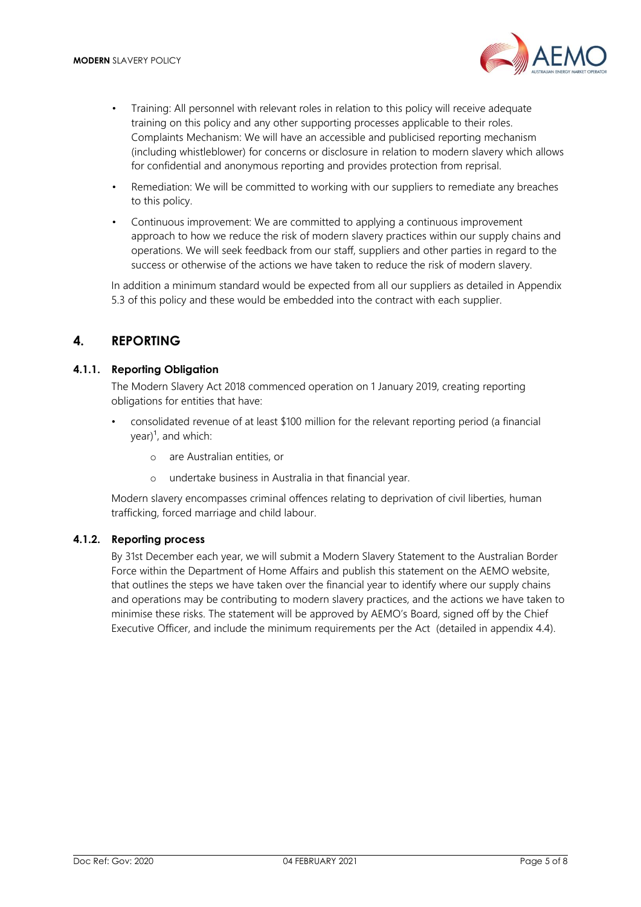

- Training: All personnel with relevant roles in relation to this policy will receive adequate training on this policy and any other supporting processes applicable to their roles. Complaints Mechanism: We will have an accessible and publicised reporting mechanism (including whistleblower) for concerns or disclosure in relation to modern slavery which allows for confidential and anonymous reporting and provides protection from reprisal.
- Remediation: We will be committed to working with our suppliers to remediate any breaches to this policy.
- Continuous improvement: We are committed to applying a continuous improvement approach to how we reduce the risk of modern slavery practices within our supply chains and operations. We will seek feedback from our staff, suppliers and other parties in regard to the success or otherwise of the actions we have taken to reduce the risk of modern slavery.

In addition a minimum standard would be expected from all our suppliers as detailed in Appendix 5.3 of this policy and these would be embedded into the contract with each supplier.

## <span id="page-4-0"></span>**4. REPORTING**

## **4.1.1. Reporting Obligation**

The Modern Slavery Act 2018 commenced operation on 1 January 2019, creating reporting obligations for entities that have:

- consolidated revenue of at least \$100 million for the relevant reporting period (a financial  $year)^1$ , and which:
	- o are Australian entities, or
	- o undertake business in Australia in that financial year.

Modern slavery encompasses criminal offences relating to deprivation of civil liberties, human trafficking, forced marriage and child labour.

## **4.1.2. Reporting process**

By 31st December each year, we will submit a Modern Slavery Statement to the Australian Border Force within the Department of Home Affairs and publish this statement on the AEMO website, that outlines the steps we have taken over the financial year to identify where our supply chains and operations may be contributing to modern slavery practices, and the actions we have taken to minimise these risks. The statement will be approved by AEMO's Board, signed off by the Chief Executive Officer, and include the minimum requirements per the Act (detailed in appendix 4.4).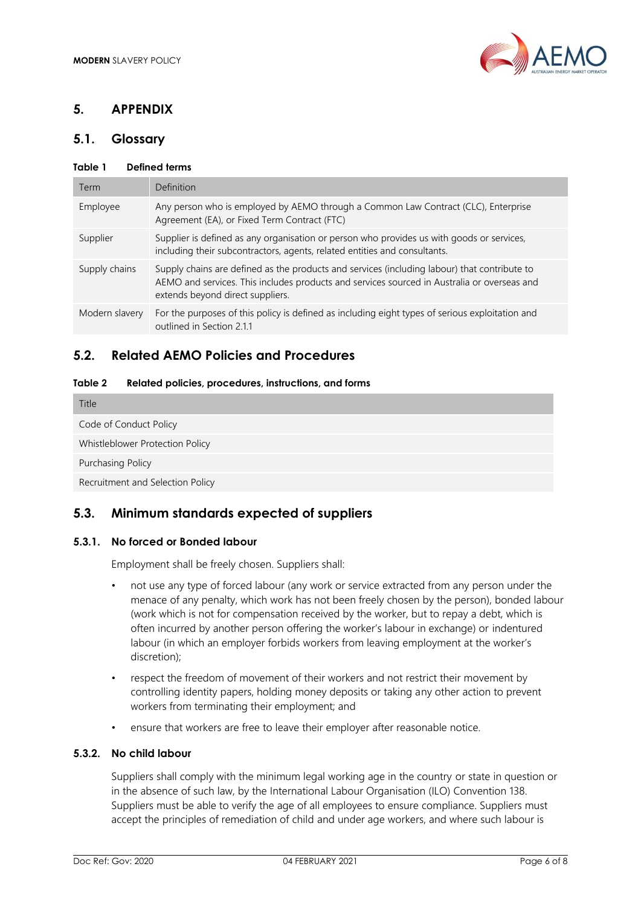

# <span id="page-5-0"></span>**5. APPENDIX**

# <span id="page-5-1"></span>**5.1. Glossary**

|  | Table 1 |  | <b>Defined terms</b> |  |
|--|---------|--|----------------------|--|
|--|---------|--|----------------------|--|

| Term           | Definition                                                                                                                                                                                                                      |
|----------------|---------------------------------------------------------------------------------------------------------------------------------------------------------------------------------------------------------------------------------|
| Employee       | Any person who is employed by AEMO through a Common Law Contract (CLC), Enterprise<br>Agreement (EA), or Fixed Term Contract (FTC)                                                                                              |
| Supplier       | Supplier is defined as any organisation or person who provides us with goods or services,<br>including their subcontractors, agents, related entities and consultants.                                                          |
| Supply chains  | Supply chains are defined as the products and services (including labour) that contribute to<br>AEMO and services. This includes products and services sourced in Australia or overseas and<br>extends beyond direct suppliers. |
| Modern slavery | For the purposes of this policy is defined as including eight types of serious exploitation and<br>outlined in Section 2.1.1                                                                                                    |

## <span id="page-5-2"></span>**5.2. Related AEMO Policies and Procedures**

#### **Table 2 Related policies, procedures, instructions, and forms**

| Title                            |
|----------------------------------|
| Code of Conduct Policy           |
| Whistleblower Protection Policy  |
| Purchasing Policy                |
| Recruitment and Selection Policy |
|                                  |

## <span id="page-5-3"></span>**5.3. Minimum standards expected of suppliers**

#### **5.3.1. No forced or Bonded labour**

Employment shall be freely chosen. Suppliers shall:

- not use any type of forced labour (any work or service extracted from any person under the menace of any penalty, which work has not been freely chosen by the person), bonded labour (work which is not for compensation received by the worker, but to repay a debt, which is often incurred by another person offering the worker's labour in exchange) or indentured labour (in which an employer forbids workers from leaving employment at the worker's discretion);
- respect the freedom of movement of their workers and not restrict their movement by controlling identity papers, holding money deposits or taking any other action to prevent workers from terminating their employment; and
- ensure that workers are free to leave their employer after reasonable notice.

## **5.3.2. No child labour**

Suppliers shall comply with the minimum legal working age in the country or state in question or in the absence of such law, by the International Labour Organisation (ILO) Convention 138. Suppliers must be able to verify the age of all employees to ensure compliance. Suppliers must accept the principles of remediation of child and under age workers, and where such labour is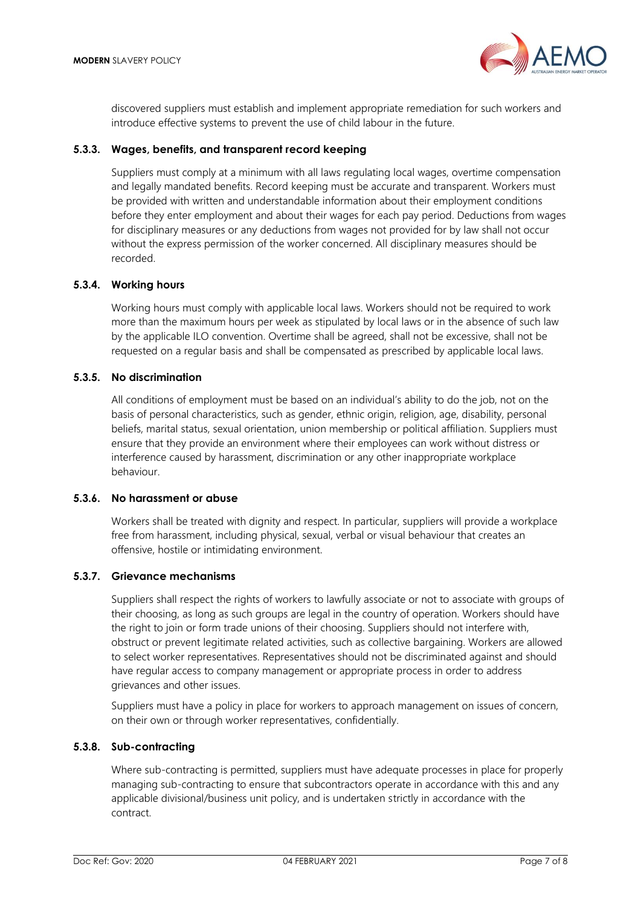

discovered suppliers must establish and implement appropriate remediation for such workers and introduce effective systems to prevent the use of child labour in the future.

#### **5.3.3. Wages, benefits, and transparent record keeping**

Suppliers must comply at a minimum with all laws regulating local wages, overtime compensation and legally mandated benefits. Record keeping must be accurate and transparent. Workers must be provided with written and understandable information about their employment conditions before they enter employment and about their wages for each pay period. Deductions from wages for disciplinary measures or any deductions from wages not provided for by law shall not occur without the express permission of the worker concerned. All disciplinary measures should be recorded.

#### **5.3.4. Working hours**

Working hours must comply with applicable local laws. Workers should not be required to work more than the maximum hours per week as stipulated by local laws or in the absence of such law by the applicable ILO convention. Overtime shall be agreed, shall not be excessive, shall not be requested on a regular basis and shall be compensated as prescribed by applicable local laws.

## **5.3.5. No discrimination**

All conditions of employment must be based on an individual's ability to do the job, not on the basis of personal characteristics, such as gender, ethnic origin, religion, age, disability, personal beliefs, marital status, sexual orientation, union membership or political affiliation. Suppliers must ensure that they provide an environment where their employees can work without distress or interference caused by harassment, discrimination or any other inappropriate workplace behaviour.

#### **5.3.6. No harassment or abuse**

Workers shall be treated with dignity and respect. In particular, suppliers will provide a workplace free from harassment, including physical, sexual, verbal or visual behaviour that creates an offensive, hostile or intimidating environment.

#### **5.3.7. Grievance mechanisms**

Suppliers shall respect the rights of workers to lawfully associate or not to associate with groups of their choosing, as long as such groups are legal in the country of operation. Workers should have the right to join or form trade unions of their choosing. Suppliers should not interfere with, obstruct or prevent legitimate related activities, such as collective bargaining. Workers are allowed to select worker representatives. Representatives should not be discriminated against and should have regular access to company management or appropriate process in order to address grievances and other issues.

Suppliers must have a policy in place for workers to approach management on issues of concern, on their own or through worker representatives, confidentially.

#### **5.3.8. Sub-contracting**

Where sub-contracting is permitted, suppliers must have adequate processes in place for properly managing sub-contracting to ensure that subcontractors operate in accordance with this and any applicable divisional/business unit policy, and is undertaken strictly in accordance with the contract.